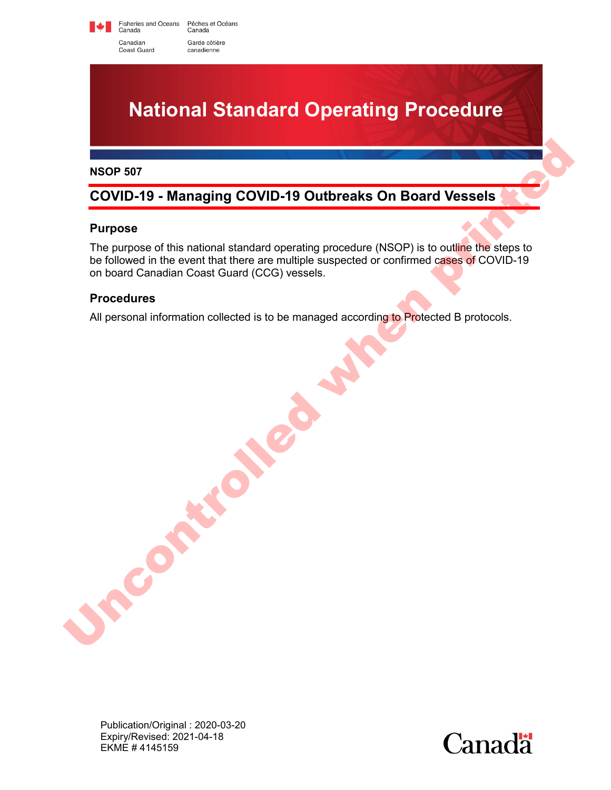Fisheries and Oceans Pêches et Océans<br>Canada Canada Canadian Garde côtière canadienne Coast Guard



#### **NSOP 507**

# **COVID-19 - Managing COVID-19 Outbreaks On Board Vessels**

### **Purpose**

The purpose of this national standard operating procedure (NSOP) is to outline the steps to be followed in the event that there are multiple suspected or confirmed cases of COVID-19 on board Canadian Coast Guard (CCG) vessels. NSOP 507<br>
COVID-19 - Managing COVID-19 Outbreaks On Board Vessels<br>
Purpose<br>
The purpose of this national standard operating procedure (NSOP) is to outline the siens to<br>
to followed in the event that there are multiple susp

### **Procedures**

All personal information collected is to be managed according to Protected B protocols.

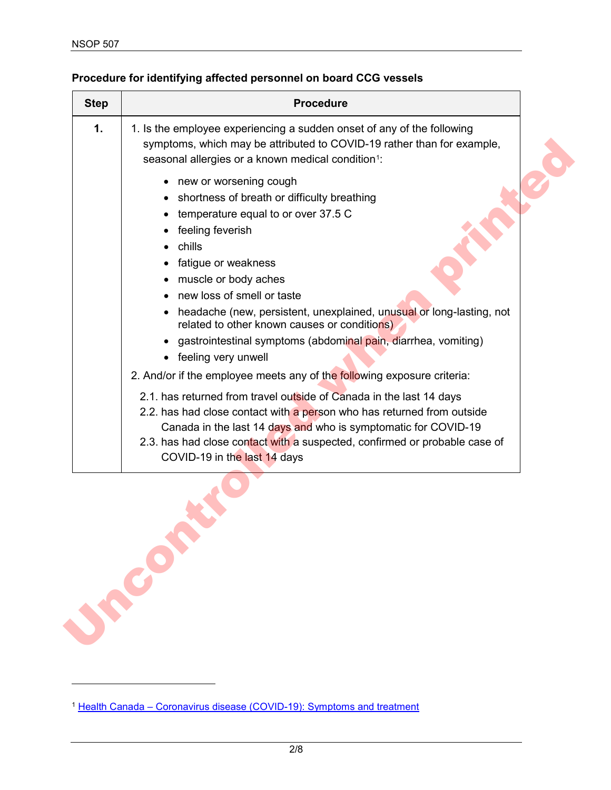$\overline{a}$ 

| <b>Step</b>   | <b>Procedure</b>                                                                                                                                                                                                                                                                                                                                                                                                                                                                                                                                       |
|---------------|--------------------------------------------------------------------------------------------------------------------------------------------------------------------------------------------------------------------------------------------------------------------------------------------------------------------------------------------------------------------------------------------------------------------------------------------------------------------------------------------------------------------------------------------------------|
| $\mathbf 1$ . | 1. Is the employee experiencing a sudden onset of any of the following<br>symptoms, which may be attributed to COVID-19 rather than for example,<br>seasonal allergies or a known medical condition <sup>1</sup> :                                                                                                                                                                                                                                                                                                                                     |
|               | new or worsening cough<br>٠<br>• shortness of breath or difficulty breathing<br>temperature equal to or over 37.5 C<br>feeling feverish<br>chills<br>fatigue or weakness<br>$\bullet$<br>muscle or body aches<br>new loss of smell or taste<br>headache (new, persistent, unexplained, unusual or long-lasting, not<br>related to other known causes or conditions)<br>• gastrointestinal symptoms (abdominal pain, diarrhea, vomiting)<br>feeling very unwell<br>$\bullet$<br>2. And/or if the employee meets any of the following exposure criteria: |
|               | 2.1. has returned from travel outside of Canada in the last 14 days<br>2.2. has had close contact with a person who has returned from outside<br>Canada in the last 14 days and who is symptomatic for COVID-19<br>2.3. has had close contact with a suspected, confirmed or probable case of<br>COVID-19 in the last 14 days                                                                                                                                                                                                                          |

## **Procedure for identifying affected personnel on board CCG vessels**

<span id="page-1-0"></span><sup>&</sup>lt;sup>1</sup> [Health Canada – Coronavirus disease \(COVID-19\): Symptoms and treatment](https://www.canada.ca/en/public-health/services/diseases/2019-novel-coronavirus-infection/symptoms.html)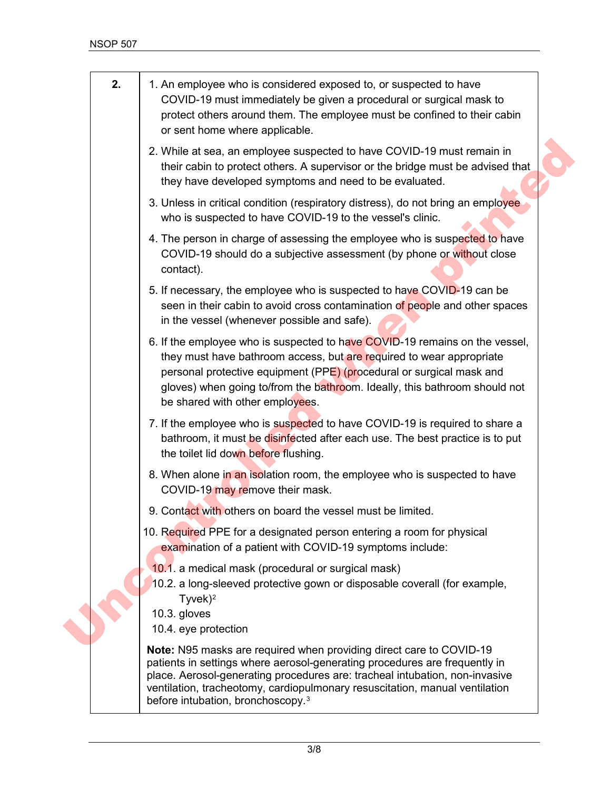<span id="page-2-1"></span><span id="page-2-0"></span>

| 2. | 1. An employee who is considered exposed to, or suspected to have<br>COVID-19 must immediately be given a procedural or surgical mask to<br>protect others around them. The employee must be confined to their cabin<br>or sent home where applicable.                                                                                                                  |
|----|-------------------------------------------------------------------------------------------------------------------------------------------------------------------------------------------------------------------------------------------------------------------------------------------------------------------------------------------------------------------------|
|    | 2. While at sea, an employee suspected to have COVID-19 must remain in<br>their cabin to protect others. A supervisor or the bridge must be advised that<br>they have developed symptoms and need to be evaluated.                                                                                                                                                      |
|    | 3. Unless in critical condition (respiratory distress), do not bring an employee<br>who is suspected to have COVID-19 to the vessel's clinic.                                                                                                                                                                                                                           |
|    | 4. The person in charge of assessing the employee who is suspected to have<br>COVID-19 should do a subjective assessment (by phone or without close<br>contact).                                                                                                                                                                                                        |
|    | 5. If necessary, the employee who is suspected to have COVID-19 can be<br>seen in their cabin to avoid cross contamination of people and other spaces<br>in the vessel (whenever possible and safe).                                                                                                                                                                    |
|    | 6. If the employee who is suspected to have COVID-19 remains on the vessel,<br>they must have bathroom access, but are required to wear appropriate<br>personal protective equipment (PPE) (procedural or surgical mask and<br>gloves) when going to/from the bathroom. Ideally, this bathroom should not<br>be shared with other employees.                            |
|    | 7. If the employee who is suspected to have COVID-19 is required to share a<br>bathroom, it must be disinfected after each use. The best practice is to put<br>the toilet lid down before flushing.                                                                                                                                                                     |
|    | 8. When alone in an isolation room, the employee who is suspected to have<br>COVID-19 may remove their mask.                                                                                                                                                                                                                                                            |
|    | 9. Contact with others on board the vessel must be limited.                                                                                                                                                                                                                                                                                                             |
|    | 10. Required PPE for a designated person entering a room for physical<br>examination of a patient with COVID-19 symptoms include:                                                                                                                                                                                                                                       |
|    | 10.1. a medical mask (procedural or surgical mask)<br>10.2. a long-sleeved protective gown or disposable coverall (for example,<br>$Tyvek$ <sup>2</sup><br>10.3. gloves<br>10.4. eye protection                                                                                                                                                                         |
|    | <b>Note:</b> N95 masks are required when providing direct care to COVID-19<br>patients in settings where aerosol-generating procedures are frequently in<br>place. Aerosol-generating procedures are: tracheal intubation, non-invasive<br>ventilation, tracheotomy, cardiopulmonary resuscitation, manual ventilation<br>before intubation, bronchoscopy. <sup>3</sup> |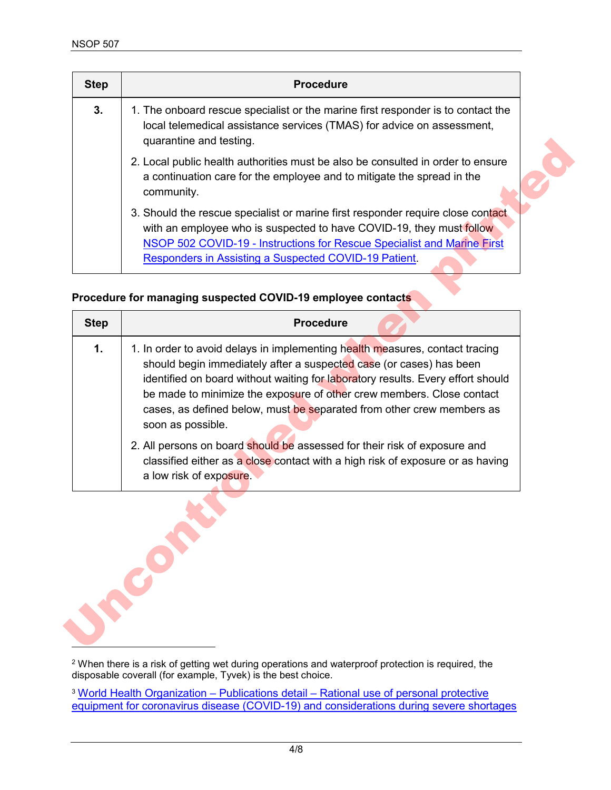$\overline{a}$ 

| <b>Step</b> | <b>Procedure</b>                                                                                                                                                                                                                                                                            |
|-------------|---------------------------------------------------------------------------------------------------------------------------------------------------------------------------------------------------------------------------------------------------------------------------------------------|
| 3.          | 1. The onboard rescue specialist or the marine first responder is to contact the<br>local telemedical assistance services (TMAS) for advice on assessment,<br>quarantine and testing.                                                                                                       |
|             | 2. Local public health authorities must be also be consulted in order to ensure<br>a continuation care for the employee and to mitigate the spread in the<br>community.                                                                                                                     |
|             | 3. Should the rescue specialist or marine first responder require close contact<br>with an employee who is suspected to have COVID-19, they must follow<br>NSOP 502 COVID-19 - Instructions for Rescue Specialist and Marine First<br>Responders in Assisting a Suspected COVID-19 Patient. |

## **Procedure for managing suspected COVID-19 employee contacts**

|             | quarantine and testing.                                                                                                                                                                                                                                                                                                                                                                                       |
|-------------|---------------------------------------------------------------------------------------------------------------------------------------------------------------------------------------------------------------------------------------------------------------------------------------------------------------------------------------------------------------------------------------------------------------|
|             | 2. Local public health authorities must be also be consulted in order to ensure<br>a continuation care for the employee and to mitigate the spread in the<br>community.                                                                                                                                                                                                                                       |
|             | 3. Should the rescue specialist or marine first responder require close contact<br>with an employee who is suspected to have COVID-19, they must follow<br>NSOP 502 COVID-19 - Instructions for Rescue Specialist and Marine First<br>Responders in Assisting a Suspected COVID-19 Patient.                                                                                                                   |
|             | Procedure for managing suspected COVID-19 employee contacts                                                                                                                                                                                                                                                                                                                                                   |
| <b>Step</b> | <b>Procedure</b>                                                                                                                                                                                                                                                                                                                                                                                              |
| 1.          | 1. In order to avoid delays in implementing health measures, contact tracing<br>should begin immediately after a suspected case (or cases) has been<br>identified on board without waiting for laboratory results. Every effort should<br>be made to minimize the exposure of other crew members. Close contact<br>cases, as defined below, must be separated from other crew members as<br>soon as possible. |
|             | 2. All persons on board should be assessed for their risk of exposure and<br>classified either as a close contact with a high risk of exposure or as having                                                                                                                                                                                                                                                   |

 $^{\rm 2}$  When there is a risk of getting wet during operations and waterproof protection is required, the disposable coverall (for example, Tyvek) is the best choice.

<sup>3</sup> [World Health Organization – Publications detail – Rational use of personal protective](https://www.who.int/publications-detail/rational-use-of-personal-protective-equipment-for-coronavirus-disease-(covid-19)-and-considerations-during-severe-shortages)  [equipment for coronavirus disease \(COVID-19\) and considerations during severe shortages](https://www.who.int/publications-detail/rational-use-of-personal-protective-equipment-for-coronavirus-disease-(covid-19)-and-considerations-during-severe-shortages)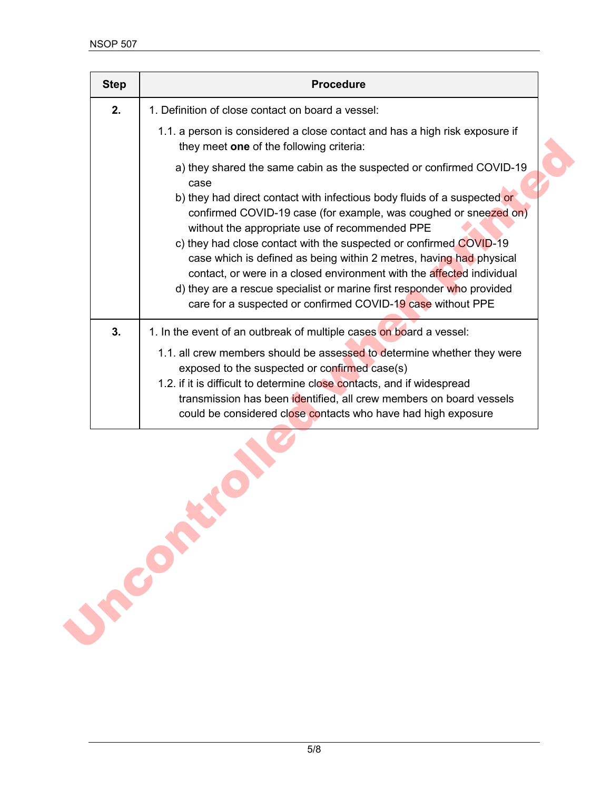| <b>Step</b> | <b>Procedure</b>                                                                                                                                                                                                                                                                                                                                                                                                                                                                                                                                                                                                                              |
|-------------|-----------------------------------------------------------------------------------------------------------------------------------------------------------------------------------------------------------------------------------------------------------------------------------------------------------------------------------------------------------------------------------------------------------------------------------------------------------------------------------------------------------------------------------------------------------------------------------------------------------------------------------------------|
| 2.          | 1. Definition of close contact on board a vessel:                                                                                                                                                                                                                                                                                                                                                                                                                                                                                                                                                                                             |
|             | 1.1. a person is considered a close contact and has a high risk exposure if<br>they meet one of the following criteria:                                                                                                                                                                                                                                                                                                                                                                                                                                                                                                                       |
|             | a) they shared the same cabin as the suspected or confirmed COVID-19<br>case<br>b) they had direct contact with infectious body fluids of a suspected or<br>confirmed COVID-19 case (for example, was coughed or sneezed on)<br>without the appropriate use of recommended PPE<br>c) they had close contact with the suspected or confirmed COVID-19<br>case which is defined as being within 2 metres, having had physical<br>contact, or were in a closed environment with the affected individual<br>d) they are a rescue specialist or marine first responder who provided<br>care for a suspected or confirmed COVID-19 case without PPE |
| 3.          | 1. In the event of an outbreak of multiple cases on board a vessel:<br>1.1. all crew members should be assessed to determine whether they were<br>exposed to the suspected or confirmed case(s)<br>1.2. if it is difficult to determine close contacts, and if widespread<br>transmission has been identified, all crew members on board vessels<br>could be considered close contacts who have had high exposure                                                                                                                                                                                                                             |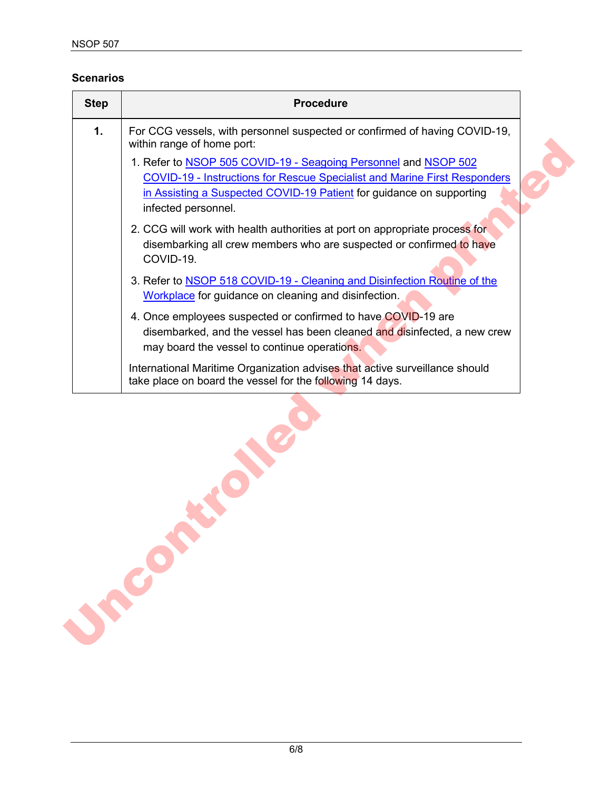### **Scenarios**

| 1.<br>For CCG vessels, with personnel suspected or confirmed of having COVID-19,<br>within range of home port:<br>1. Refer to <b>NSOP 505 COVID-19 - Seagoing Personnel and NSOP 502</b><br><b>COVID-19 - Instructions for Rescue Specialist and Marine First Responders</b><br>in Assisting a Suspected COVID-19 Patient for guidance on supporting<br>infected personnel.<br>2. CCG will work with health authorities at port on appropriate process for<br>disembarking all crew members who are suspected or confirmed to have<br>COVID-19.<br>3. Refer to NSOP 518 COVID-19 - Cleaning and Disinfection Routine of the<br>Workplace for guidance on cleaning and disinfection.<br>4. Once employees suspected or confirmed to have COVID-19 are<br>disembarked, and the vessel has been cleaned and disinfected, a new crew<br>may board the vessel to continue operations.<br>International Maritime Organization advises that active surveillance should<br>take place on board the vessel for the following 14 days. | <b>Step</b> | <b>Procedure</b> |
|------------------------------------------------------------------------------------------------------------------------------------------------------------------------------------------------------------------------------------------------------------------------------------------------------------------------------------------------------------------------------------------------------------------------------------------------------------------------------------------------------------------------------------------------------------------------------------------------------------------------------------------------------------------------------------------------------------------------------------------------------------------------------------------------------------------------------------------------------------------------------------------------------------------------------------------------------------------------------------------------------------------------------|-------------|------------------|
|                                                                                                                                                                                                                                                                                                                                                                                                                                                                                                                                                                                                                                                                                                                                                                                                                                                                                                                                                                                                                              |             |                  |
|                                                                                                                                                                                                                                                                                                                                                                                                                                                                                                                                                                                                                                                                                                                                                                                                                                                                                                                                                                                                                              |             |                  |
|                                                                                                                                                                                                                                                                                                                                                                                                                                                                                                                                                                                                                                                                                                                                                                                                                                                                                                                                                                                                                              |             |                  |
|                                                                                                                                                                                                                                                                                                                                                                                                                                                                                                                                                                                                                                                                                                                                                                                                                                                                                                                                                                                                                              |             |                  |
|                                                                                                                                                                                                                                                                                                                                                                                                                                                                                                                                                                                                                                                                                                                                                                                                                                                                                                                                                                                                                              |             |                  |
|                                                                                                                                                                                                                                                                                                                                                                                                                                                                                                                                                                                                                                                                                                                                                                                                                                                                                                                                                                                                                              |             |                  |
|                                                                                                                                                                                                                                                                                                                                                                                                                                                                                                                                                                                                                                                                                                                                                                                                                                                                                                                                                                                                                              |             |                  |
|                                                                                                                                                                                                                                                                                                                                                                                                                                                                                                                                                                                                                                                                                                                                                                                                                                                                                                                                                                                                                              |             |                  |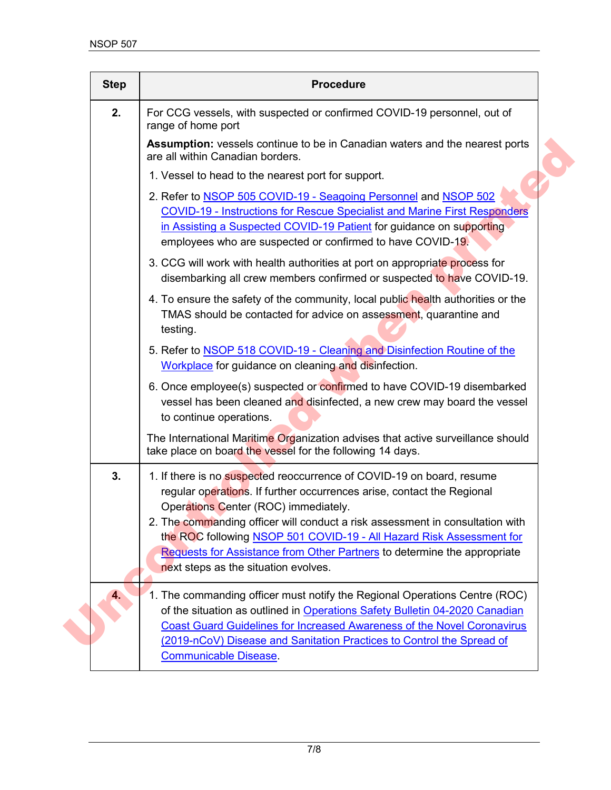| <b>Step</b> | <b>Procedure</b>                                                                                                                                                                                                                                                                                                                                                                                                                                                     |
|-------------|----------------------------------------------------------------------------------------------------------------------------------------------------------------------------------------------------------------------------------------------------------------------------------------------------------------------------------------------------------------------------------------------------------------------------------------------------------------------|
| 2.          | For CCG vessels, with suspected or confirmed COVID-19 personnel, out of<br>range of home port                                                                                                                                                                                                                                                                                                                                                                        |
|             | <b>Assumption:</b> vessels continue to be in Canadian waters and the nearest ports<br>are all within Canadian borders.                                                                                                                                                                                                                                                                                                                                               |
|             | 1. Vessel to head to the nearest port for support.                                                                                                                                                                                                                                                                                                                                                                                                                   |
|             | 2. Refer to <b>NSOP 505 COVID-19 - Seagoing Personnel and NSOP 502</b><br><b>COVID-19 - Instructions for Rescue Specialist and Marine First Responders</b><br>in Assisting a Suspected COVID-19 Patient for guidance on supporting<br>employees who are suspected or confirmed to have COVID-19.                                                                                                                                                                     |
|             | 3. CCG will work with health authorities at port on appropriate process for<br>disembarking all crew members confirmed or suspected to have COVID-19.                                                                                                                                                                                                                                                                                                                |
|             | 4. To ensure the safety of the community, local public health authorities or the<br>TMAS should be contacted for advice on assessment, quarantine and<br>testing.                                                                                                                                                                                                                                                                                                    |
|             | 5. Refer to <b>NSOP 518 COVID-19 - Cleaning and Disinfection Routine of the</b><br>Workplace for guidance on cleaning and disinfection.                                                                                                                                                                                                                                                                                                                              |
|             | 6. Once employee(s) suspected or confirmed to have COVID-19 disembarked<br>vessel has been cleaned and disinfected, a new crew may board the vessel<br>to continue operations.                                                                                                                                                                                                                                                                                       |
|             | The International Maritime Organization advises that active surveillance should<br>take place on board the vessel for the following 14 days.                                                                                                                                                                                                                                                                                                                         |
| 3.          | 1. If there is no suspected reoccurrence of COVID-19 on board, resume<br>regular operations. If further occurrences arise, contact the Regional<br>Operations Center (ROC) immediately.<br>2. The commanding officer will conduct a risk assessment in consultation with<br>the ROC following NSOP 501 COVID-19 - All Hazard Risk Assessment for<br>Requests for Assistance from Other Partners to determine the appropriate<br>next steps as the situation evolves. |
| 4.          | 1. The commanding officer must notify the Regional Operations Centre (ROC)<br>of the situation as outlined in Operations Safety Bulletin 04-2020 Canadian<br><b>Coast Guard Guidelines for Increased Awareness of the Novel Coronavirus</b><br>(2019-nCoV) Disease and Sanitation Practices to Control the Spread of<br><b>Communicable Disease</b>                                                                                                                  |